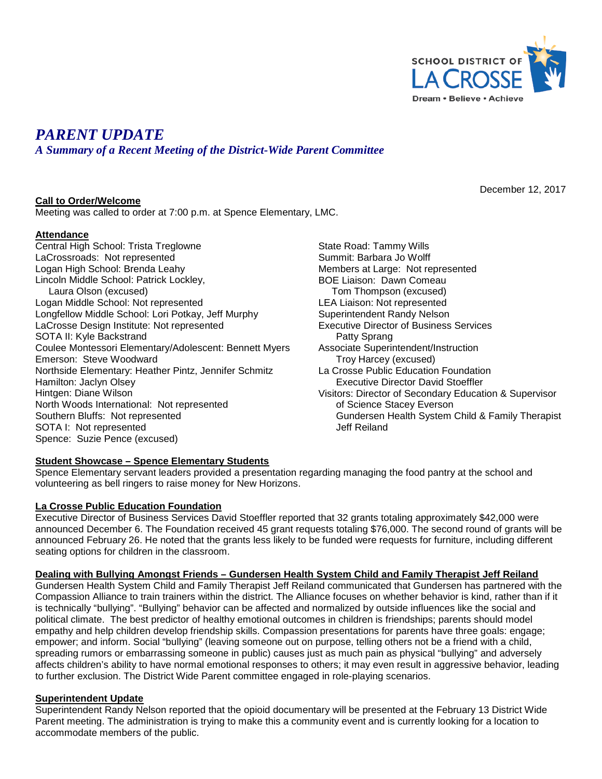

December 12, 2017

# *PARENT UPDATE*

*A Summary of a Recent Meeting of the District-Wide Parent Committee*

## **Call to Order/Welcome**

Meeting was called to order at 7:00 p.m. at Spence Elementary, LMC.

## **Attendance**

Central High School: Trista Treglowne LaCrossroads: Not represented Logan High School: Brenda Leahy Lincoln Middle School: Patrick Lockley, Laura Olson (excused) Logan Middle School: Not represented Longfellow Middle School: Lori Potkay, Jeff Murphy LaCrosse Design Institute: Not represented SOTA II: Kyle Backstrand Coulee Montessori Elementary/Adolescent: Bennett Myers Emerson: Steve Woodward Northside Elementary: Heather Pintz, Jennifer Schmitz Hamilton: Jaclyn Olsey Hintgen: Diane Wilson North Woods International: Not represented Southern Bluffs: Not represented SOTA I: Not represented Spence: Suzie Pence (excused)

State Road: Tammy Wills Summit: Barbara Jo Wolff Members at Large: Not represented BOE Liaison: Dawn Comeau Tom Thompson (excused) LEA Liaison: Not represented Superintendent Randy Nelson Executive Director of Business Services Patty Sprang Associate Superintendent/Instruction Troy Harcey (excused) La Crosse Public Education Foundation Executive Director David Stoeffler Visitors: Director of Secondary Education & Supervisor of Science Stacey Everson Gundersen Health System Child & Family Therapist Jeff Reiland

## **Student Showcase – Spence Elementary Students**

Spence Elementary servant leaders provided a presentation regarding managing the food pantry at the school and volunteering as bell ringers to raise money for New Horizons.

#### **La Crosse Public Education Foundation**

Executive Director of Business Services David Stoeffler reported that 32 grants totaling approximately \$42,000 were announced December 6. The Foundation received 45 grant requests totaling \$76,000. The second round of grants will be announced February 26. He noted that the grants less likely to be funded were requests for furniture, including different seating options for children in the classroom.

#### **Dealing with Bullying Amongst Friends – Gundersen Health System Child and Family Therapist Jeff Reiland**

Gundersen Health System Child and Family Therapist Jeff Reiland communicated that Gundersen has partnered with the Compassion Alliance to train trainers within the district. The Alliance focuses on whether behavior is kind, rather than if it is technically "bullying". "Bullying" behavior can be affected and normalized by outside influences like the social and political climate. The best predictor of healthy emotional outcomes in children is friendships; parents should model empathy and help children develop friendship skills. Compassion presentations for parents have three goals: engage; empower; and inform. Social "bullying" (leaving someone out on purpose, telling others not be a friend with a child, spreading rumors or embarrassing someone in public) causes just as much pain as physical "bullying" and adversely affects children's ability to have normal emotional responses to others; it may even result in aggressive behavior, leading to further exclusion. The District Wide Parent committee engaged in role-playing scenarios.

#### **Superintendent Update**

Superintendent Randy Nelson reported that the opioid documentary will be presented at the February 13 District Wide Parent meeting. The administration is trying to make this a community event and is currently looking for a location to accommodate members of the public.